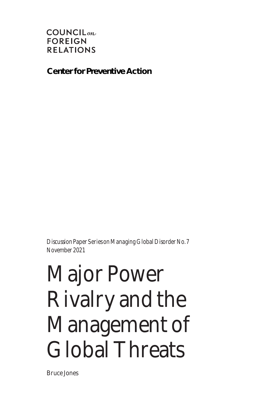#### $COUNCIL_{\text{on}}$ **FOREIGN RELATIONS**

**Center for Preventive Action**

*Discussion Paper Series on Managing Global Disorder No. 7 November 2021*

# Major Power Rivalry and the Management of Global Threats

Bruce Jones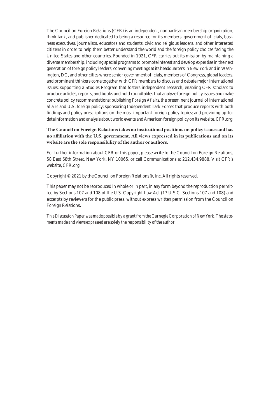The Council on Foreign Relations (CFR) is an independent, nonpartisan membership organization, think tank, and publisher dedicated to being a resource for its members, government o cials, business executives, journalists, educators and students, civic and religious leaders, and other interested citizens in order to help them better understand the world and the foreign policy choices facing the United States and other countries. Founded in 1921, CFR carries out its mission by maintaining a diverse membership, including special programs to promote interest and develop expertise in the next generation of foreign policy leaders; convening meetings at its headquarters in New York and in Washington, DC, and other cities where senior government o cials, members of Congress, global leaders, and prominent thinkers come together with CFR members to discuss and debate major international issues; supporting a Studies Program that fosters independent research, enabling CFR scholars to produce articles, reports, and books and hold roundtables that analyze foreign policy issues and make concrete policy recommendations; publishing *Foreign A airs*, the preeminent journal of international a airs and U.S. foreign policy; sponsoring Independent Task Forces that produce reports with both findings and policy prescriptions on the most important foreign policy topics; and providing up-todate information and analysis about world events and American foreign policy on its website, CFR.org.

**The Council on Foreign Relations takes no institutional positions on policy issues and has no affiliation with the U.S. government. All views expressed in its publications and on its website are the sole responsibility of the author or authors.**

For further information about CFR or this paper, please write to the Council on Foreign Relations, 58 East 68th Street, New York, NY 10065, or call Communications at 212.434.9888. Visit CFR's website, CFR.org.

Copyright © 2021 by the Council on Foreign Relations®, Inc. All rights reserved.

This paper may not be reproduced in whole or in part, in any form beyond the reproduction permitted by Sections 107 and 108 of the U.S. Copyright Law Act (17 U.S.C. Sections 107 and 108) and excerpts by reviewers for the public press, without express written permission from the Council on Foreign Relations.

*This Discussion Paper was made possible by a grant from the Carnegie Corporation of New York. The statements made and views expressed are solely the responsibility of the author.*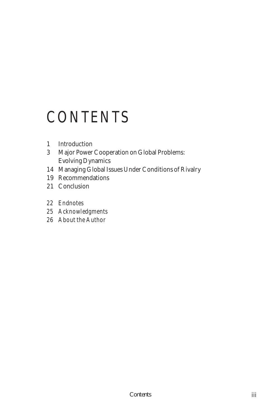## *CONTENTS*

- Introduction
- Major Power Cooperation on Global Problems: Evolving Dynamics
- Managing Global Issues Under Conditions of Rivalry
- Recommendations
- Conclusion
- *Endnotes*
- *Acknowledgments*
- *About the Author*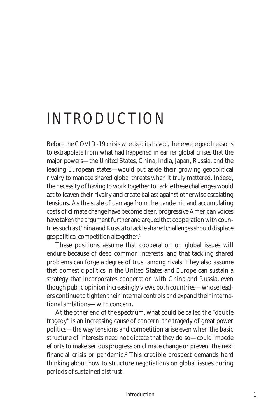# *INTRODUCTION*

Before the COVID-19 crisis wreaked its havoc, there were good reasons to extrapolate from what had happened in earlier global crises that the major powers—the United States, China, India, Japan, Russia, and the leading European states—would put aside their growing geopolitical rivalry to manage shared global threats when it truly mattered. Indeed, the necessity of having to work together to tackle these challenges would act to leaven their rivalry and create ballast against otherwise escalating tensions. As the scale of damage from the pandemic and accumulating costs of climate change have become clear, progressive American voices have taken the argument further and argued that cooperation with countries such as China and Russia to tackle shared challenges should displace geopolitical competition altogether.1

These positions assume that cooperation on global issues will endure because of deep common interests, and that tackling shared problems can forge a degree of trust among rivals. They also assume that domestic politics in the United States and Europe can sustain a strategy that incorporates cooperation with China and Russia, even though public opinion increasingly views both countries—whose leaders continue to tighten their internal controls and expand their international ambitions—with concern.

At the other end of the spectrum, what could be called the "double tragedy" is an increasing cause of concern: the tragedy of great power politics—the way tensions and competition arise even when the basic structure of interests need not dictate that they do so—could impede e orts to make serious progress on climate change or prevent the next financial crisis or pandemic.<sup>2</sup> This credible prospect demands hard thinking about how to structure negotiations on global issues during periods of sustained distrust.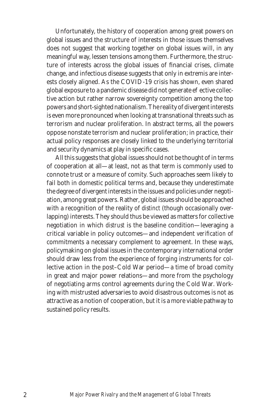Unfortunately, the history of cooperation among great powers on global issues and the structure of interests in those issues themselves does not suggest that working together on global issues will, in any meaningful way, lessen tensions among them. Furthermore, the structure of interests across the global issues of financial crises, climate change, and infectious disease suggests that only in extremis are interests closely aligned. As the COVID-19 crisis has shown, even shared global exposure to a pandemic disease did not generate e ective collective action but rather narrow sovereignty competition among the top powers and short-sighted nationalism. The reality of divergent interests is even more pronounced when looking at transnational threats such as terrorism and nuclear proliferation. In abstract terms, all the powers oppose nonstate terrorism and nuclear proliferation; in practice, their actual policy responses are closely linked to the underlying territorial and security dynamics at play in specific cases.

All this suggests that global issues should not be thought of in terms of cooperation at all—at least, not as that term is commonly used to connote trust or a measure of comity. Such approaches seem likely to fail both in domestic political terms and, because they underestimate the degree of divergent interests in the issues and policies under negotiation, among great powers. Rather, global issues should be approached with a recognition of the reality of *distinct* (though occasionally overlapping) interests. They should thus be viewed as matters for collective negotiation in which *distrust* is the baseline condition—leveraging a critical variable in policy outcomes—and independent *verification* of commitments a necessary complement to agreement. In these ways, policymaking on global issues in the contemporary international order should draw less from the experience of forging instruments for collective action in the post–Cold War period—a time of broad comity in great and major power relations—and more from the psychology of negotiating arms control agreements during the Cold War. Working with mistrusted adversaries to avoid disastrous outcomes is not as attractive as a notion of cooperation, but it is a more viable pathway to sustained policy results.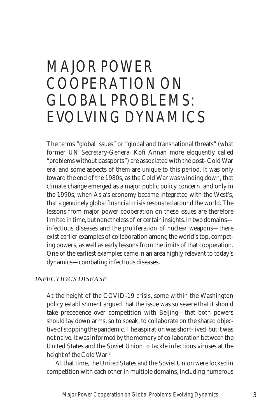## *MAJOR POWER COOPERATION ON GLOBAL PROBLEMS: EVOLVING DYNAMICS*

The terms "global issues" or "global and transnational threats" (what former UN Secretary-General Kofi Annan more eloquently called "problems without passports") are associated with the post–Cold War era, and some aspects of them are unique to this period. It was only toward the end of the 1980s, as the Cold War was winding down, that climate change emerged as a major public policy concern, and only in the 1990s, when Asia's economy became integrated with the West's, that a genuinely global financial crisis resonated around the world. The lessons from major power cooperation on these issues are therefore  $limited$  in time, but nonetheless oer certain insights. In two domains infectious diseases and the proliferation of nuclear weapons—there exist earlier examples of collaboration among the world's top, competing powers, as well as early lessons from the limits of that cooperation. One of the earliest examples came in an area highly relevant to today's dynamics—combating infectious diseases.

#### *INFECTIOUS DISEASE*

At the height of the COVID-19 crisis, some within the Washington policy establishment argued that the issue was so severe that it should take precedence over competition with Beijing—that both powers should lay down arms, so to speak, to collaborate on the shared objective of stopping the pandemic. The aspiration was short-lived, but it was not naive. It was informed by the memory of collaboration between the United States and the Soviet Union to tackle infectious viruses at the height of the Cold War.3

At that time, the United States and the Soviet Union were locked in competition with each other in multiple domains, including numerous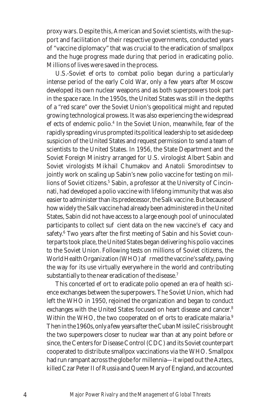proxy wars. Despite this, American and Soviet scientists, with the support and facilitation of their respective governments, conducted years of "vaccine diplomacy" that was crucial to the eradication of smallpox and the huge progress made during that period in eradicating polio. Millions of lives were saved in the process.

U.S.-Soviet e orts to combat polio began during a particularly intense period of the early Cold War, only a few years after Moscow developed its own nuclear weapons and as both superpowers took part in the space race. In the 1950s, the United States was still in the depths of a "red scare" over the Soviet Union's geopolitical might and reputed growing technological prowess. It was also experiencing the widespread e ects of endemic polio.<sup>4</sup> In the Soviet Union, meanwhile, fear of the rapidly spreading virus prompted its political leadership to set aside deep suspicion of the United States and request permission to send a team of scientists to the United States. In 1956, the State Department and the Soviet Foreign Ministry arranged for U.S. virologist Albert Sabin and Soviet virologists Mikhail Chumakov and Anatoli Smorodintsev to jointly work on scaling up Sabin's new polio vaccine for testing on millions of Soviet citizens.<sup>5</sup> Sabin, a professor at the University of Cincinnati, had developed a polio vaccine with lifelong immunity that was also easier to administer than its predecessor, the Salk vaccine. But because of how widely the Salk vaccine had already been administered in the United States, Sabin did not have access to a large enough pool of uninoculated participants to collect su cient data on the new vaccine's e cacy and safety.<sup>6</sup> Two years after the first meeting of Sabin and his Soviet counterparts took place, the United States began delivering his polio vaccines to the Soviet Union. Following tests on millions of Soviet citizens, the World Health Organization (WHO) a rmed the vaccine's safety, paving the way for its use virtually everywhere in the world and contributing substantially to the near eradication of the disease.<sup>7</sup>

This concerted e ort to eradicate polio opened an era of health science exchanges between the superpowers. The Soviet Union, which had left the WHO in 1950, rejoined the organization and began to conduct exchanges with the United States focused on heart disease and cancer.8 Within the WHO, the two cooperated on e orts to eradicate malaria.<sup>9</sup> Then in the 1960s, only a few years after the Cuban Missile Crisis brought the two superpowers closer to nuclear war than at any point before or since, the Centers for Disease Control (CDC) and its Soviet counterpart cooperated to distribute smallpox vaccinations via the WHO. Smallpox had run rampant across the globe for millennia—it wiped out the Aztecs, killed Czar Peter II of Russia and Queen Mary of England, and accounted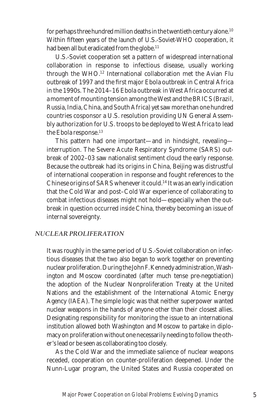for perhaps three hundred million deaths in the twentieth century alone.10 Within fifteen years of the launch of U.S.-Soviet-WHO cooperation, it had been all but eradicated from the globe.<sup>11</sup>

U.S.-Soviet cooperation set a pattern of widespread international collaboration in response to infectious disease, usually working through the WHO.12 International collaboration met the Avian Flu outbreak of 1997 and the first major Ebola outbreak in Central Africa in the 1990s. The 2014–16 Ebola outbreak in West Africa occurred at a moment of mounting tension among the West and the BRICS (Brazil, Russia, India, China, and South Africa) yet saw more than one hundred countries cosponsor a U.S. resolution providing UN General Assembly authorization for U.S. troops to be deployed to West Africa to lead the Ebola response.<sup>13</sup>

This pattern had one important—and in hindsight, revealing interruption. The Severe Acute Respiratory Syndrome (SARS) outbreak of 2002–03 saw nationalist sentiment cloud the early response. Because the outbreak had its origins in China, Beijing was distrustful of international cooperation in response and fought references to the Chinese origins of SARS whenever it could.14 It was an early indication that the Cold War and post–Cold War experience of collaborating to combat infectious diseases might not hold—especially when the outbreak in question occurred *inside* China, thereby becoming an issue of internal sovereignty.

#### *NUCLEAR PROLIFERATION*

It was roughly in the same period of U.S.-Soviet collaboration on infectious diseases that the two also began to work together on preventing nuclear proliferation. During the John F. Kennedy administration, Washington and Moscow coordinated (after much tense pre-negotiation) the adoption of the Nuclear Nonproliferation Treaty at the United Nations and the establishment of the International Atomic Energy Agency (IAEA). The simple logic was that neither superpower wanted nuclear weapons in the hands of anyone other than their closest allies. Designating responsibility for monitoring the issue to an international institution allowed both Washington and Moscow to partake in diplomacy on proliferation without one necessarily needing to follow the other's lead or be seen as collaborating too closely.

As the Cold War and the immediate salience of nuclear weapons receded, cooperation on counter-proliferation deepened. Under the Nunn-Lugar program, the United States and Russia cooperated on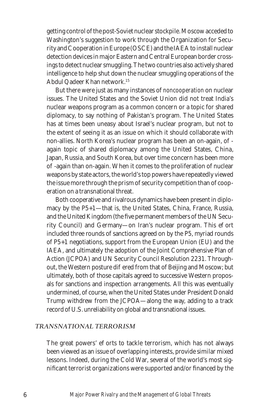getting control of the post-Soviet nuclear stockpile. Moscow acceded to Washington's suggestion to work through the Organization for Security and Cooperation in Europe (OSCE) and the IAEA to install nuclear detection devices in major Eastern and Central European border crossings to detect nuclear smuggling. The two countries also actively shared intelligence to help shut down the nuclear smuggling operations of the Abdul Qadeer Khan network.15

But there were just as many instances of *noncooperation* on nuclear issues. The United States and the Soviet Union did not treat India's nuclear weapons program as a common concern or a topic for shared diplomacy, to say nothing of Pakistan's program. The United States has at times been uneasy about Israel's nuclear program, but not to the extent of seeing it as an issue on which it should collaborate with non-allies. North Korea's nuclear program has been an on-again, o again topic of shared diplomacy among the United States, China, Japan, Russia, and South Korea, but over time concern has been more o -again than on-again. When it comes to the proliferation of nuclear weapons by state actors, the world's top powers have repeatedly viewed the issue more through the prism of security competition than of cooperation on a transnational threat.

Both cooperative and rivalrous dynamics have been present in diplomacy by the P5+1—that is, the United States, China, France, Russia, and the United Kingdom (the five permanent members of the UN Security Council) and Germany—on Iran's nuclear program. This e ort included three rounds of sanctions agreed on by the P5, myriad rounds of P5+1 negotiations, support from the European Union (EU) and the IAEA, and ultimately the adoption of the Joint Comprehensive Plan of Action (JCPOA) and UN Security Council Resolution 2231. Throughout, the Western posture diered from that of Beijing and Moscow; but ultimately, both of those capitals agreed to successive Western proposals for sanctions and inspection arrangements. All this was eventually undermined, of course, when the United States under President Donald Trump withdrew from the JCPOA—along the way, adding to a track record of U.S. unreliability on global and transnational issues.

#### *TRANSNATIONAL TERRORISM*

The great powers' e orts to tackle terrorism, which has not always been viewed as an issue of overlapping interests, provide similar mixed lessons. Indeed, during the Cold War, several of the world's most significant terrorist organizations were supported and/or financed by the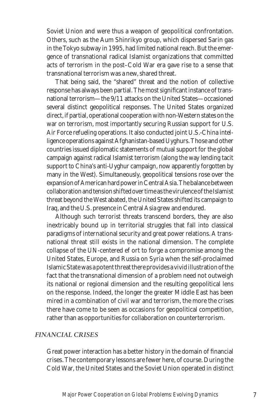Soviet Union and were thus a weapon of geopolitical confrontation. Others, such as the Aum Shinrikyo group, which dispersed Sarin gas in the Tokyo subway in 1995, had limited national reach. But the emergence of transnational radical Islamist organizations that committed acts of terrorism in the post–Cold War era gave rise to a sense that transnational terrorism was a new, shared threat.

That being said, the "shared" threat and the notion of collective response has always been partial. The most significant instance of transnational terrorism—the 9/11 attacks on the United States—occasioned several distinct geopolitical responses. The United States organized direct, if partial, operational cooperation with non-Western states on the war on terrorism, most importantly securing Russian support for U.S. Air Force refueling operations. It also conducted joint U.S.-China intelligence operations against Afghanistan-based Uyghurs. Those and other countries issued diplomatic statements of mutual support for the global campaign against radical Islamist terrorism (along the way lending tacit support to China's anti-Uyghur campaign, now apparently forgotten by many in the West). Simultaneously, geopolitical tensions rose over the expansion of American hard power in Central Asia. The balance between collaboration and tension shifted over time as the virulence of the Islamist threat beyond the West abated, the United States shifted its campaign to Iraq, and the U.S. presence in Central Asia grew and endured.

Although such terrorist threats transcend borders, they are also inextricably bound up in territorial struggles that fall into classical paradigms of international security and great power relations. A transnational threat still exists in the national dimension. The complete collapse of the UN-centered e ort to forge a compromise among the United States, Europe, and Russia on Syria when the self-proclaimed Islamic State was a potent threat there provides a vivid illustration of the fact that the transnational dimension of a problem need not outweigh its national or regional dimension and the resulting geopolitical lens on the response. Indeed, the longer the greater Middle East has been mired in a combination of civil war and terrorism, the more the crises there have come to be seen as occasions for geopolitical competition, rather than as opportunities for collaboration on counterterrorism.

#### *FINANCIAL CRISES*

Great power interaction has a better history in the domain of financial crises. The contemporary lessons are fewer here, of course. During the Cold War, the United States and the Soviet Union operated in distinct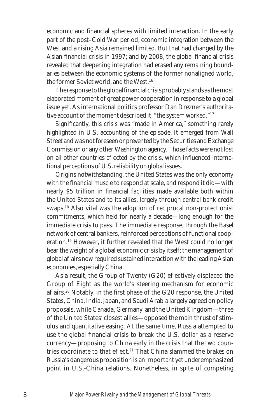economic and financial spheres with limited interaction. In the early part of the post–Cold War period, economic integration between the West and a rising Asia remained limited. But that had changed by the Asian financial crisis in 1997; and by 2008, the global financial crisis revealed that deepening integration had erased any remaining boundaries between the economic systems of the former nonaligned world, the former Soviet world, and the West.16

The response to the global financial crisis probably stands as the most elaborated moment of great power cooperation in response to a global issue yet. As international politics professor Dan Drezner's authoritative account of the moment described it, "the system worked."17

Significantly, this crisis was "made in America," something rarely highlighted in U.S. accounting of the episode. It emerged from Wall Street and was not foreseen or prevented by the Securities and Exchange Commission or any other Washington agency. Those facts were not lost on all other countries a ected by the crisis, which influenced international perceptions of U.S. reliability on global issues.

Origins notwithstanding, the United States was the only economy with the financial muscle to respond at scale, and respond it did—with nearly \$5 trillion in financial facilities made available both within the United States and to its allies, largely through central bank credit swaps.18 Also vital was the adoption of reciprocal non-protectionist commitments, which held for nearly a decade—long enough for the immediate crisis to pass. The immediate response, through the Basel network of central bankers, reinforced perceptions of functional cooperation.19 However, it further revealed that the West could no longer bear the weight of a global economic crisis by itself; the management of global a airs now required sustained interaction with the leading Asian economies, especially China.

As a result, the Group of Twenty  $(G20)$  e ectively displaced the Group of Eight as the world's steering mechanism for economic a airs.<sup>20</sup> Notably, in the first phase of the G20 response, the United States, China, India, Japan, and Saudi Arabia largely agreed on policy proposals, while Canada, Germany, and the United Kingdom—three of the United States' closest allies—opposed the main thrust of stimulus and quantitative easing. At the same time, Russia attempted to use the global financial crisis to break the U.S. dollar as a reserve currency—proposing to China early in the crisis that the two countries coordinate to that e ect.<sup>21</sup> That China slammed the brakes on Russia's dangerous proposition is an important yet underemphasized point in U.S.-China relations. Nonetheless, in spite of competing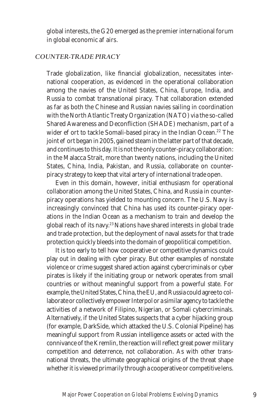global interests, the G20 emerged as the premier international forum in global economic a airs.

#### *COUNTER-TRADE PIRACY*

Trade globalization, like financial globalization, necessitates international cooperation, as evidenced in the operational collaboration among the navies of the United States, China, Europe, India, and Russia to combat transnational piracy. That collaboration extended as far as both the Chinese and Russian navies sailing in coordination with the North Atlantic Treaty Organization (NATO) via the so-called Shared Awareness and Deconfliction (SHADE) mechanism, part of a wider e ort to tackle Somali-based piracy in the Indian Ocean.<sup>22</sup> The joint e ort began in 2005, gained steam in the latter part of that decade, and continues to this day. It is not the only counter-piracy collaboration: in the Malacca Strait, more than twenty nations, including the United States, China, India, Pakistan, and Russia, collaborate on counterpiracy strategy to keep that vital artery of international trade open.

Even in this domain, however, initial enthusiasm for operational collaboration among the United States, China, and Russia in counterpiracy operations has yielded to mounting concern. The U.S. Navy is increasingly convinced that China has used its counter-piracy operations in the Indian Ocean as a mechanism to train and develop the global reach of its navy.23 Nations have shared interests in global trade and trade protection, but the deployment of naval assets for that trade protection quickly bleeds into the domain of geopolitical competition.

It is too early to tell how cooperative or competitive dynamics could play out in dealing with cyber piracy. But other examples of nonstate violence or crime suggest shared action against cybercriminals or cyber pirates is likely if the initiating group or network operates from small countries or without meaningful support from a powerful state. For example, the United States, China, the EU, and Russia could agree to collaborate or collectively empower Interpol or a similar agency to tackle the activities of a network of Filipino, Nigerian, or Somali cybercriminals. Alternatively, if the United States suspects that a cyber hijacking group (for example, DarkSide, which attacked the U.S. Colonial Pipeline) has meaningful support from Russian intelligence assets or acted with the connivance of the Kremlin, the reaction will reflect great power military competition and deterrence, not collaboration. As with other transnational threats, the ultimate geographical origins of the threat shape whether it is viewed primarily through a cooperative or competitive lens.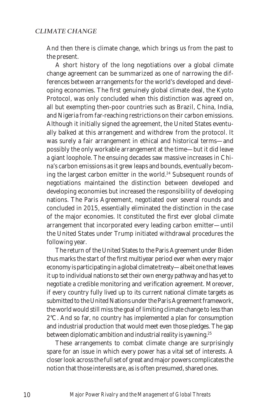And then there is climate change, which brings us from the past to the present.

A short history of the long negotiations over a global climate change agreement can be summarized as one of narrowing the differences between arrangements for the world's developed and developing economies. The first genuinely global climate deal, the Kyoto Protocol, was only concluded when this distinction was agreed on, all but exempting then-poor countries such as Brazil, China, India, and Nigeria from far-reaching restrictions on their carbon emissions. Although it initially signed the agreement, the United States eventually balked at this arrangement and withdrew from the protocol. It was surely a fair arrangement in ethical and historical terms—and possibly the only workable arrangement at the time—but it did leave a giant loophole. The ensuing decades saw massive increases in China's carbon emissions as it grew leaps and bounds, eventually becoming the largest carbon emitter in the world.<sup>24</sup> Subsequent rounds of negotiations maintained the distinction between developed and developing economies but increased the responsibility of developing nations. The Paris Agreement, negotiated over several rounds and concluded in 2015, essentially eliminated the distinction in the case of the major economies. It constituted the first ever global climate arrangement that incorporated every leading carbon emitter—until the United States under Trump initiated withdrawal procedures the following year.

The return of the United States to the Paris Agreement under Biden thus marks the start of the first multiyear period ever when every major economy is participating in a global climate treaty—albeit one that leaves it up to individual nations to set their own energy pathway and has yet to negotiate a credible monitoring and verification agreement. Moreover, if *every* country fully lived up to its current national climate targets as submitted to the United Nations under the Paris Agreement framework, the world would still miss the goal of limiting climate change to less than 2°C. And so far, *no* country has implemented a plan for consumption and industrial production that would meet even those pledges. The gap between diplomatic ambition and industrial reality is yawning.<sup>25</sup>

These arrangements to combat climate change are surprisingly spare for an issue in which every power has a vital set of interests. A closer look across the full set of great and major powers complicates the notion that those interests are, as is often presumed, shared ones.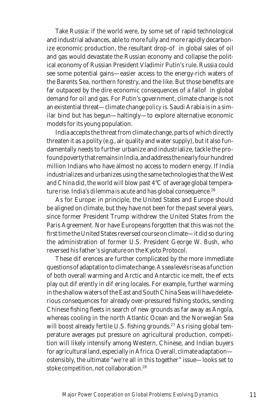Take Russia: if the world were, by some set of rapid technological and industrial advances, able to more fully and more rapidly decarbonize economic production, the resultant drop-o in global sales of oil and gas would devastate the Russian economy and collapse the political economy of Russian President Vladimir Putin's rule. Russia could see some potential gains—easier access to the energy-rich waters of the Barents Sea, northern forestry, and the like. But those benefits are far outpaced by the dire economic consequences of a fallo in global demand for oil and gas. For Putin's government, climate change is not an existential threat—climate change *policy* is. Saudi Arabia is in a similar bind but has begun—haltingly—to explore alternative economic models for its young population.

India accepts the threat from climate change, parts of which directly threaten it as a polity (e.g., air quality and water supply), but it also fundamentally needs to further urbanize and industrialize, tackle the profound poverty that remains in India, and address the nearly four hundred million Indians who have almost no access to modern energy. If India industrializes and urbanizes using the same technologies that the West and China did, the world will blow past 4°C of average global temperature rise. India's dilemma is acute and has global consequence.<sup>26</sup>

As for Europe: in principle, the United States and Europe should be aligned on climate, but they have not been for the past several years, since former President Trump withdrew the United States from the Paris Agreement. Nor have Europeans forgotten that this was not the first time the United States reversed course on climate—it did so during the administration of former U.S. President George W. Bush, who reversed his father's signature on the Kyoto Protocol.

These dievences are further complicated by the more immediate questions of adaptation to climate change. As sea levels rise as a function of both overall warming and Arctic and Antarctic ice melt, the e ects play out dieferently in diefering locales. For example, further warming in the shallow waters of the East and South China Seas will have deleterious consequences for already over-pressured fishing stocks, sending Chinese fishing fleets in search of new grounds as far away as Angola, whereas cooling in the north Atlantic Ocean and the Norwegian Sea will boost already fertile U.S. fishing grounds.<sup>27</sup> As rising global temperature averages put pressure on agricultural production, competition will likely intensify among Western, Chinese, and Indian buyers for agricultural land, especially in Africa. Overall, climate adaptation ostensibly, the ultimate "we're all in this together" issue—looks set to stoke *competition*, not collaboration.<sup>28</sup>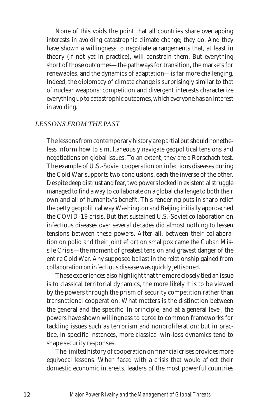None of this voids the point that all countries share overlapping interests in avoiding catastrophic climate change; they do. And they have shown a willingness to negotiate arrangements that, at least in theory (if not yet in practice), will constrain them. But everything short of those outcomes—the pathways for transition, the markets for renewables, and the dynamics of adaptation—is far more challenging. Indeed, the diplomacy of climate change is surprisingly similar to that of nuclear weapons: competition and divergent interests characterize everything up to catastrophic outcomes, which everyone has an interest in avoiding.

#### *LESSONS FROM THE PAST*

The lessons from contemporary history are partial but should nonetheless inform how to simultaneously navigate geopolitical tensions and negotiations on global issues. To an extent, they are a Rorschach test. The example of U.S.-Soviet cooperation on infectious diseases during the Cold War supports two conclusions, each the inverse of the other. Despite deep distrust and fear, two powers locked in existential struggle managed to find a way to collaborate on a global challenge to both their own and all of humanity's benefit. This rendering puts in sharp relief the petty geopolitical way Washington and Beijing initially approached the COVID-19 crisis. But that sustained U.S.-Soviet collaboration on infectious diseases over several decades did almost nothing to lessen tensions between these powers. After all, between their collaboration on polio and their joint e ort on smallpox came the Cuban Missile Crisis—the moment of greatest tension and gravest danger of the entire Cold War. Any supposed ballast in the relationship gained from collaboration on infectious disease was quickly jettisoned.

These experiences also highlight that the more closely tied an issue is to classical territorial dynamics, the more likely it is to be viewed by the powers through the prism of security competition rather than transnational cooperation. What matters is the distinction between the general and the specific. In principle, and at a general level, the powers have shown willingness to agree to common frameworks for tackling issues such as terrorism and nonproliferation; but in practice, in specific instances, more classical win-loss dynamics tend to shape security responses.

The limited history of cooperation on financial crises provides more equivocal lessons. When faced with a crisis that would a ect their domestic economic interests, leaders of the most powerful countries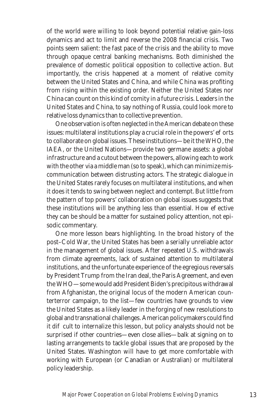of the world were willing to look beyond potential relative gain-loss dynamics and act to limit and reverse the 2008 financial crisis. Two points seem salient: the fast pace of the crisis and the ability to move through opaque central banking mechanisms. Both diminished the prevalence of domestic political opposition to collective action. But importantly, the crisis happened at a moment of relative comity between the United States and China, and while China was profiting from rising within the existing order. Neither the United States nor China can count on this kind of comity in a future crisis. Leaders in the United States and China, to say nothing of Russia, could look more to relative loss dynamics than to collective prevention.

One observation is often neglected in the American debate on these issues: multilateral institutions play a crucial role in the powers' e orts to collaborate on global issues. These institutions—be it the WHO, the IAEA, or the United Nations—provide two germane assets: a global infrastructure and a cutout between the powers, allowing each to work with the other via a middle man (so to speak), which can minimize miscommunication between distrusting actors. The strategic dialogue in the United States rarely focuses on multilateral institutions, and when it does it tends to swing between neglect and contempt. But little from the pattern of top powers' collaboration on global issues suggests that these institutions will be anything less than essential. How e ective they can be should be a matter for sustained policy attention, not episodic commentary.

One more lesson bears highlighting. In the broad history of the post–Cold War, the United States has been a serially unreliable actor in the management of global issues. After repeated U.S. withdrawals from climate agreements, lack of sustained attention to multilateral institutions, and the unfortunate experience of the egregious reversals by President Trump from the Iran deal, the Paris Agreement, and even the WHO—some would add President Biden's precipitous withdrawal from Afghanistan, the original locus of the modern American counterterror campaign, to the list—few countries have grounds to view the United States as a likely leader in the forging of new resolutions to global and transnational challenges. American policymakers could find it di cult to internalize this lesson, but policy analysts should not be surprised if other countries—even close allies—balk at signing on to lasting arrangements to tackle global issues that are proposed by the United States. Washington will have to get more comfortable with working with European (or Canadian or Australian) or multilateral policy leadership.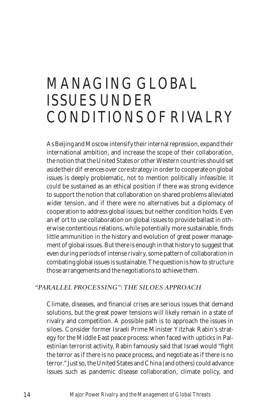### *MANAGING GLOBAL ISSUES UNDER CONDITIONS OF RIVALRY*

As Beijing and Moscow intensify their internal repression, expand their international ambition, and increase the scope of their collaboration, the notion that the United States or other Western countries should set aside their dielerences over core strategy in order to cooperate on global issues is deeply problematic, not to mention politically infeasible. It *could* be sustained as an ethical position if there was strong evidence to support the notion that collaboration on shared problems alleviated wider tension, and if there were no alternatives but a diplomacy of cooperation to address global issues; but neither condition holds. Even an e ort to use collaboration on global issues to provide ballast in otherwise contentious relations, while potentially more sustainable, finds little ammunition in the history and evolution of great power management of global issues. But there is enough in that history to suggest that even during periods of intense rivalry, some pattern of collaboration in combating global issues is sustainable. The question is how to structure those arrangements and the negotiations to achieve them.

#### *"PARALLEL PROCESSING": THE SILOES APPROACH*

Climate, diseases, and financial crises are serious issues that demand solutions, but the great power tensions will likely remain in a state of rivalry and competition. A possible path is to approach the issues in siloes. Consider former Israeli Prime Minister Yitzhak Rabin's strategy for the Middle East peace process: when faced with upticks in Palestinian terrorist activity, Rabin famously said that Israel would "fight the terror as if there is no peace process, and negotiate as if there is no terror." Just so, the United States and China (and others) could advance issues such as pandemic disease collaboration, climate policy, and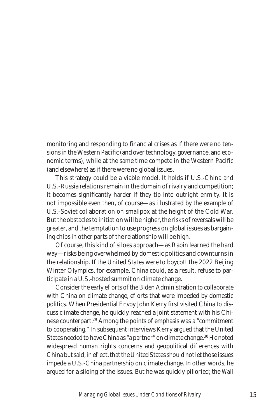monitoring and responding to financial crises as if there were no tensions in the Western Pacific (and over technology, governance, and economic terms), while at the same time compete in the Western Pacific (and elsewhere) as if there were no global issues.

This strategy could be a viable model. It holds if U.S.-China and U.S.-Russia relations remain in the domain of rivalry and competition; it becomes significantly harder if they tip into outright enmity. It is not impossible even then, of course—as illustrated by the example of U.S.-Soviet collaboration on smallpox at the height of the Cold War. But the obstacles to initiation will be higher, the risks of reversals will be greater, and the temptation to use progress on global issues as bargaining chips in other parts of the relationship will be high.

Of course, this kind of siloes approach—as Rabin learned the hard way—risks being overwhelmed by domestic politics and downturns in the relationship. If the United States were to boycott the 2022 Beijing Winter Olympics, for example, China could, as a result, refuse to participate in a U.S.-hosted summit on climate change.

Consider the early e orts of the Biden Administration to collaborate with China on climate change, e orts that were impeded by domestic politics. When Presidential Envoy John Kerry first visited China to discuss climate change, he quickly reached a joint statement with his Chinese counterpart.29 Among the points of emphasis was a "commitment to cooperating." In subsequent interviews Kerry argued that the United States needed to have China as "a partner" on climate change.<sup>30</sup> He noted widespread human rights concerns and geopolitical di erences with China but said, in e ect, that the United States should not let those issues impede a U.S.-China partnership on climate change. In other words, he argued for a siloing of the issues. But he was quickly pilloried; the *Wall*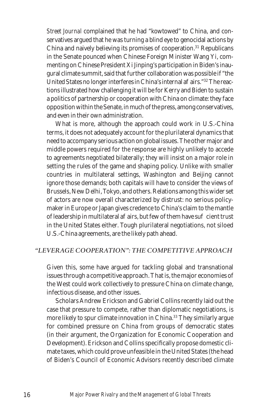*Street Journal* complained that he had "kowtowed" to China, and conservatives argued that he was turning a blind eye to genocidal actions by China and naively believing its promises of cooperation.<sup>31</sup> Republicans in the Senate pounced when Chinese Foreign Minister Wang Yi, commenting on Chinese President Xi Jinping's participation in Biden's inaugural climate summit, said that further collaboration was possible if "the United States no longer interferes in China's internal a airs."<sup>32</sup> The reactions illustrated how challenging it will be for Kerry and Biden to sustain a politics of partnership or cooperation with China on climate: they face opposition within the Senate, in much of the press, among conservatives, and even in their own administration.

What is more, although the approach could work in U.S.-China terms, it does not adequately account for the plurilateral dynamics that need to accompany serious action on global issues. The other major and middle powers required for the response are highly unlikely to accede to agreements negotiated bilaterally; they will insist on a major role in setting the rules of the game and shaping policy. Unlike with smaller countries in multilateral settings, Washington and Beijing cannot ignore those demands; both capitals will have to consider the views of Brussels, New Delhi, Tokyo, and others. Relations among this wider set of actors are now overall characterized by distrust: no serious policymaker in Europe or Japan gives credence to China's claim to the mantle of leadership in multilateral a airs, but few of them have su cient trust in the United States either. Tough plurilateral negotiations, not siloed U.S.-China agreements, are the likely path ahead.

#### *"LEVERAGE COOPERATION": THE COMPETITIVE APPROACH*

Given this, some have argued for tackling global and transnational issues through a competitive approach. That is, the major economies of the West could work collectively to pressure China on climate change, infectious disease, and other issues.

Scholars Andrew Erickson and Gabriel Collins recently laid out the case that pressure to compete, rather than diplomatic negotiations, is more likely to spur climate innovation in China.<sup>33</sup> They similarly argue for combined pressure on China from groups of democratic states (in their argument, the Organization for Economic Cooperation and Development). Erickson and Collins specifically propose domestic climate taxes, which could prove unfeasible in the United States (the head of Biden's Council of Economic Advisors recently described climate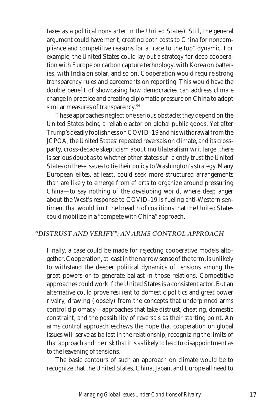taxes as a political nonstarter in the United States). Still, the general argument could have merit, creating both costs to China for noncompliance and competitive reasons for a "race to the top" dynamic. For example, the United States could lay out a strategy for deep cooperation with Europe on carbon capture technology, with Korea on batteries, with India on solar, and so on. Cooperation would require strong transparency rules and agreements on reporting. This would have the double benefit of showcasing how democracies can address climate change in practice and creating diplomatic pressure on China to adopt similar measures of transparency.<sup>34</sup>

These approaches neglect one serious obstacle: they depend on the United States being a reliable actor on global public goods. Yet after Trump's deadly foolishness on COVID-19 and his withdrawal from the JCPOA, the United States' repeated reversals on climate, and its crossparty, cross-decade skepticism about multilateralism writ large, there is serious doubt as to whether other states su ciently trust the United States on these issues to tie their policy to Washington's strategy. Many European elites, at least, could seek more structured arrangements than are likely to emerge from e orts to organize around pressuring China—to say nothing of the developing world, where deep anger about the West's response to COVID-19 is fueling anti-Western sentiment that would limit the breadth of coalitions that the United States could mobilize in a "compete with China" approach.

#### *"DISTRUST AND VERIFY": AN ARMS CONTROL APPROACH*

Finally, a case could be made for rejecting cooperative models altogether. Cooperation, at least in the narrow sense of the term, is unlikely to withstand the deeper political dynamics of tensions among the great powers or to generate ballast in those relations. Competitive approaches could work if the United States is a consistent actor. But an alternative could prove resilient to domestic politics and great power rivalry, drawing (loosely) from the concepts that underpinned arms control diplomacy—approaches that take distrust, cheating, domestic constraint, and the possibility of reversals as their starting point. An arms control approach eschews the hope that cooperation on global issues will serve as ballast in the relationship, recognizing the limits of that approach and the risk that it is as likely to lead to disappointment as to the leavening of tensions.

The basic contours of such an approach on climate would be to recognize that the United States, China, Japan, and Europe all need to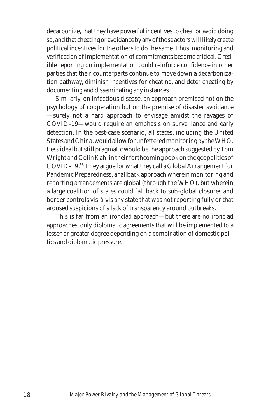decarbonize, that they have powerful incentives to cheat or avoid doing so, and that cheating or avoidance by any of those actors will likely create political incentives for the others to do the same. Thus, monitoring and verification of implementation of commitments become critical. Credible reporting on implementation could reinforce confidence in other parties that their counterparts continue to move down a decarbonization pathway, diminish incentives for cheating, and deter cheating by documenting and disseminating any instances.

Similarly, on infectious disease, an approach premised not on the psychology of cooperation but on the premise of disaster avoidance —surely not a hard approach to envisage amidst the ravages of COVID-19—would require an emphasis on surveillance and early detection. In the best-case scenario, all states, including the United States and China, would allow for unfettered monitoring by the WHO. Less ideal but still pragmatic would be the approach suggested by Tom Wright and Colin Kahl in their forthcoming book on the geopolitics of COVID-19.35 They argue for what they call a Global Arrangement for Pandemic Preparedness, a fallback approach wherein monitoring and reporting arrangements are global (through the WHO), but wherein a large coalition of states could fall back to sub-global closures and border controls vis-à-vis any state that was not reporting fully or that aroused suspicions of a lack of transparency around outbreaks.

This is far from an ironclad approach—but there are no ironclad approaches, only diplomatic agreements that will be implemented to a lesser or greater degree depending on a combination of domestic politics and diplomatic pressure.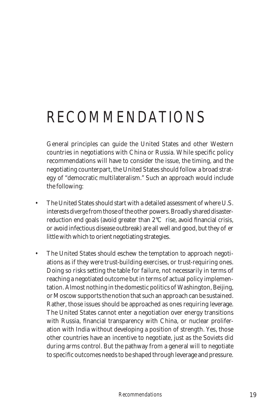# *RECOMMENDATIONS*

General principles can guide the United States and other Western countries in negotiations with China or Russia. While specific policy recommendations will have to consider the issue, the timing, and the negotiating counterpart, the United States should follow a broad strategy of "democratic multilateralism." Such an approach would include the following:

- The United States should start with a detailed assessment of where U.S. interests *diverge* from those of the other powers. Broadly shared disasterreduction end goals (avoid greater than 2°C rise, avoid financial crisis, or avoid infectious disease outbreak) are all well and good, but they oer little with which to orient negotiating strategies.
- The United States should eschew the temptation to approach negotiations as if they were trust-building exercises, or trust-requiring ones. Doing so risks setting the table for failure, not necessarily in terms of reaching a negotiated outcome but in terms of actual policy implementation. Almost nothing in the domestic politics of Washington, Beijing, or Moscow supports the notion that such an approach can be sustained. Rather, those issues should be approached as ones requiring leverage. The United States cannot enter a negotiation over energy transitions with Russia, financial transparency with China, or nuclear proliferation with India without developing a position of strength. Yes, those other countries have an incentive to negotiate, just as the Soviets did during arms control. But the pathway from a general will to negotiate to specific outcomes needs to be shaped through leverage and pressure.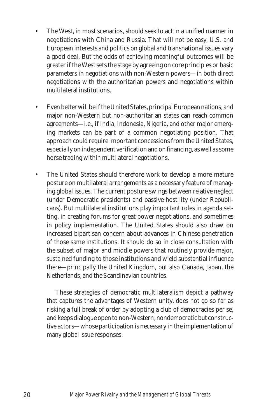- The West, in most scenarios, should seek to act in a unified manner in negotiations with China and Russia. That will not be easy. U.S. and European interests and politics on global and transnational issues vary a good deal. But the odds of achieving meaningful outcomes will be greater if the West sets the stage by agreeing on core principles or basic parameters in negotiations with non-Western powers—in both direct negotiations with the authoritarian powers and negotiations within multilateral institutions.
- Even better will be if the United States, principal European nations, and major non-Western but non-authoritarian states can reach common agreements—i.e., if India, Indonesia, Nigeria, and other major emerging markets can be part of a common negotiating position. That approach could require important concessions from the United States, especially on independent verification and on financing, as well as some horse trading within multilateral negotiations.
- The United States should therefore work to develop a more mature posture on multilateral arrangements as a necessary feature of managing global issues. The current posture swings between relative neglect (under Democratic presidents) and passive hostility (under Republicans). But multilateral institutions play important roles in agenda setting, in creating forums for great power negotiations, and sometimes in policy implementation. The United States should also draw on increased bipartisan concern about advances in Chinese penetration of those same institutions. It should do so in close consultation with the subset of major and middle powers that routinely provide major, sustained funding to those institutions and wield substantial influence there—principally the United Kingdom, but also Canada, Japan, the Netherlands, and the Scandinavian countries.

These strategies of democratic multilateralism depict a pathway that captures the advantages of Western unity, does not go so far as risking a full break of order by adopting a club of democracies per se, and keeps dialogue open to non-Western, nondemocratic but constructive actors—whose participation is necessary in the implementation of many global issue responses.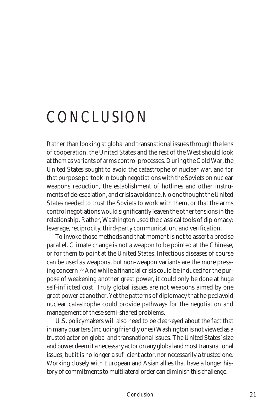# *CONCLUSION*

Rather than looking at global and transnational issues through the lens of cooperation, the United States and the rest of the West should look at them as variants of arms control processes. During the Cold War, the United States sought to avoid the catastrophe of nuclear war, and for that purpose partook in tough negotiations with the Soviets on nuclear weapons reduction, the establishment of hotlines and other instruments of de-escalation, and crisis avoidance. No one thought the United States needed to trust the Soviets to work with them, or that the arms control negotiations would significantly leaven the other tensions in the relationship. Rather, Washington used the classical tools of diplomacy: leverage, reciprocity, third-party communication, and verification.

To invoke those methods and that moment is not to assert a precise parallel. Climate change is not a weapon to be pointed at the Chinese, or for them to point at the United States. Infectious diseases of course can be used as weapons, but non-weapon variants are the more pressing concern.36 And while a financial crisis could be induced for the purpose of weakening another great power, it could only be done at huge self-inflicted cost. Truly global issues are not weapons aimed by one great power at another. Yet the patterns of diplomacy that helped avoid nuclear catastrophe could provide pathways for the negotiation and management of these semi-shared problems.

U.S. policymakers will also need to be clear-eyed about the fact that in many quarters (including friendly ones) Washington is not viewed as a trusted actor on global and transnational issues. The United States' size and power deem it a necessary actor on any global and most transnational issues; but it is no longer a su cient actor, nor necessarily a trusted one. Working closely with European and Asian allies that have a longer history of commitments to multilateral order can diminish this challenge.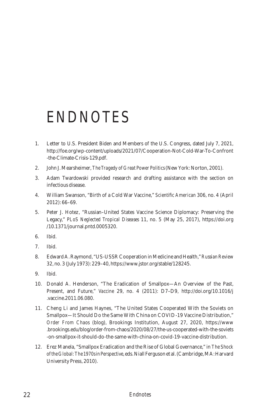### *ENDNOTES*

- 1. Letter to U.S. President Biden and Members of the U.S. Congress, dated July 7, 2021, http://foe.org/wp-content/uploads/2021/07/Cooperation-Not-Cold-War-To-Confront -the-Climate-Crisis-129.pdf.
- 2. John J. Mearsheimer, *The Tragedy of Great Power Politics* (New York: Norton, 2001).
- 3. Adam Twardowski provided research and drafting assistance with the section on infectious disease.
- 4. William Swanson, "Birth of a Cold War Vaccine," *Scientific American* 306, no. 4 (April 2012): 66–69.
- 5. Peter J. Hotez, "Russian–United States Vaccine Science Diplomacy: Preserving the Legacy," *PLoS Neglected Tropical Diseases* 11, no. 5 (May 25, 2017), https://doi.org /10.1371/journal.pntd.0005320.
- 6. Ibid.
- 7. Ibid.
- 8. Edward A. Raymond, "US-USSR Cooperation in Medicine and Health," *Russian Review* 32, no. 3 (July 1973): 229–40, https://www.jstor.org/stable/128245.
- 9. Ibid.
- 10. Donald A. Henderson, "The Eradication of Smallpox—An Overview of the Past, Present, and Future," *Vaccine* 29, no. 4 (2011): D7–D9, http://doi.org/10.1016/j .vaccine.2011.06.080.
- 11. Cheng Li and James Haynes, "The United States Cooperated With the Soviets on Smallpox—It Should Do the Same With China on COVID-19 Vaccine Distribution," *Order From Chaos* (blog), Brookings Institution, August 27, 2020, https://www .brookings.edu/blog/order-from-chaos/2020/08/27/the-us-cooperated-with-the-soviets -on-smallpox-it-should-do-the-same-with-china-on-covid-19-vaccine-distribution.
- 12. Erez Manela, "Smallpox Eradication and the Rise of Global Governance," in *The Shock of the Global: The 1970s in Perspective*, eds. Niall Ferguson et al. (Cambridge, MA: Harvard University Press, 2010).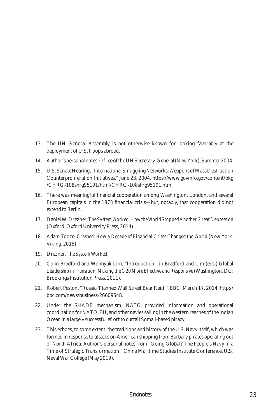- 13. The UN General Assembly is not otherwise known for looking favorably at the deployment of U.S. troops abroad.
- 14. Author's personal notes, O ce of the UN Secretary-General (New York), Summer 2004.
- 15. U.S. Senate Hearing, "International Smuggling Networks: Weapons of Mass Destruction Counterproliferation Initiatives," June 23, 2004, https://www.govinfo.gov/content/pkg /CHRG-108shrg95191/html/CHRG-108shrg95191.htm.
- 16. There was meaningful financial cooperation among Washington, London, and several European capitals in the 1873 financial crisis—but, notably, that cooperation did not extend to Berlin.
- 17. Daniel W. Drezner, *The System Worked: How the World Stopped Another Great Depression* (Oxford: Oxford University Press, 2014).
- 18. Adam Tooze, *Crashed: How a Decade of Financial Crises Changed the World* (New York: Viking, 2018).
- 19. Drezner, *The System Worked.*
- 20. Colin Bradford and Wonhyuk Lim, "Introduction", in Bradford and Lim (eds.) *Global*  Leadership in Transition: Making the G20 More E ective and Responsive (Washington, DC: Brookings Institution Press, 2011).
- 21. Robert Peston, "Russia 'Planned Wall Street Bear Raid,'" BBC, March 17, 2014, http:// bbc.com/news/business-26609548.
- 22. Under the SHADE mechanism, NATO provided information and operational coordination for NATO, EU, and other navies sailing in the western reaches of the Indian Ocean in a largely successful e ort to curtail Somali-based piracy.
- 23. This echoes, to some extent, the traditions and history of the U.S. Navy itself, which was formed in response to attacks on American shipping from Barbary pirates operating out of North Africa. Author's personal notes from "Going Global? The People's Navy in a Time of Strategic Transformation," China Maritime Studies Institute Conference, U.S. Naval War College (May 2019).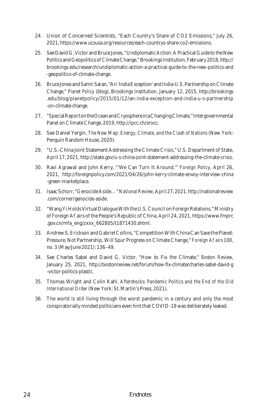- 24. Union of Concerned Scientists, "Each Country's Share of CO2 Emissions," July 26, 2021, https://www.ucsusa.org/resources/each-countrys-share-co2-emissions.
- 25. See David G. Victor and Bruce Jones, "Undiplomatic Action: A Practical Guide to the New Politics and Geopolitics of Climate Change," Brookings Institution, February 2018, http:// brookings.edu/research/undiplomatic-action-a-practical-guide-to-the-new-politics-and -geopolitics-of-climate-change.
- 26. Bruce Jones and Samir Saran, "An 'India Exception' and India-U.S. Partnership on Climate Change," *Planet Policy* (blog), Brookings Institution, January 12, 2015, http://brookings .edu/blog/planetpolicy/2015/01/12/an-india-exception-and-india-u-s-partnership -on-climate-change.
- 27. "Special Report on the Ocean and Cryosphere in a Changing Climate," Intergovernmental Panel on Climate Change, 2019, http://ipcc.ch/srocc.
- 28. See Daniel Yergin, *The New Map: Energy, Climate, and the Clash of Nations* (New York: Penguin Random House, 2020).
- 29. "U.S.-China Joint Statement Addressing the Climate Crisis," U.S. Department of State, April 17, 2021, http://state.gov/u-s-china-joint-statement-addressing-the-climate-crisis.
- 30. Ravi Agrawal and John Kerry, "'We Can Turn It Around,'" *Foreign Policy*, April 26, 2021, http://foreignpolicy.com/2021/04/26/john-kerry-climate-envoy-interview-china -green-marketplace.
- 31. Isaac Schorr, "Genocide Aside…" *National Review*,April 27, 2021, http://nationalreview .com/corner/genocide-aside.
- 32. "Wang Yi Holds Virtual Dialogue With the U.S. Council on Foreign Relations," Ministry of Foreign A airs of the People's Republic of China, April 24, 2021, https://www.fmprc .gov.cn/mfa\_eng/zxxx\_662805/t1871430.shtml.
- 33. Andrew S. Erickson and Gabriel Collins, "Competition With China Can Save the Planet: Pressure, Not Partnership, Will Spur Progress on Climate Change," *Foreign A airs* 100, no. 3 (May/June 2021): 136–49.
- 34. See Charles Sabel and David G. Victor, "How to Fix the Climate," *Boston Review*, January 25, 2021, http://bostonreview.net/forum/how-fix-climate/charles-sabel-david-g -victor-politics-plastic.
- 35. Thomas Wright and Colin Kahl, *Aftershocks: Pandemic Politics and the End of the Old International Order* (New York: St. Martin's Press, 2021).
- 36. The world is still living through the worst pandemic in a century and only the most conspiratorially minded politicians even hint that COVID-19 was deliberately leaked.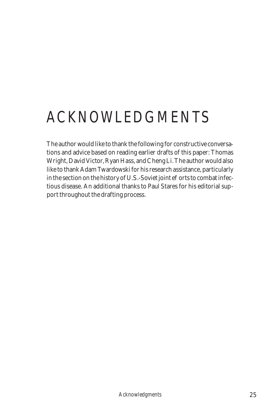# *ACKNOWLEDGMENTS*

The author would like to thank the following for constructive conversations and advice based on reading earlier drafts of this paper: Thomas Wright, David Victor, Ryan Hass, and Cheng Li. The author would also like to thank Adam Twardowski for his research assistance, particularly in the section on the history of U.S.-Soviet joint e orts to combat infectious disease. An additional thanks to Paul Stares for his editorial support throughout the drafting process.